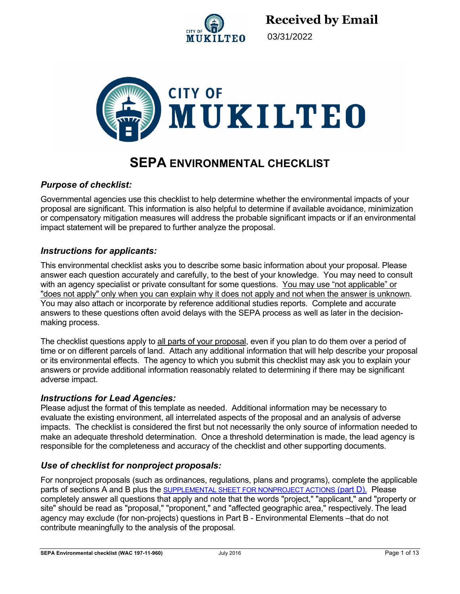

03/31/2022



# **SEPA ENVIRONMENTAL CHECKLIST**

### *Purpose of checklist:*

Governmental agencies use this checklist to help determine whether the environmental impacts of your proposal are significant. This information is also helpful to determine if available avoidance, minimization or compensatory mitigation measures will address the probable significant impacts or if an environmental impact statement will be prepared to further analyze the proposal.

### *Instructions for applicants:*

This environmental checklist asks you to describe some basic information about your proposal. Please answer each question accurately and carefully, to the best of your knowledge. You may need to consult with an agency specialist or private consultant for some questions. You may use "not applicable" or "does not apply" only when you can explain why it does not apply and not when the answer is unknown. You may also attach or incorporate by reference additional studies reports. Complete and accurate answers to these questions often avoid delays with the SEPA process as well as later in the decisionmaking process.

The checklist questions apply to all parts of your proposal, even if you plan to do them over a period of time or on different parcels of land. Attach any additional information that will help describe your proposal or its environmental effects. The agency to which you submit this checklist may ask you to explain your answers or provide additional information reasonably related to determining if there may be significant adverse impact.

#### *Instructions for Lead Agencies:*

Please adjust the format of this template as needed. Additional information may be necessary to evaluate the existing environment, all interrelated aspects of the proposal and an analysis of adverse impacts. The checklist is considered the first but not necessarily the only source of information needed to make an adequate threshold determination. Once a threshold determination is made, the lead agency is responsible for the completeness and accuracy of the checklist and other supporting documents.

### *Use of checklist for nonproject proposals:*

For nonproject proposals (such as ordinances, regulations, plans and programs), complete the applicable parts of sections A and B plus the SUPPLEMENTAL SHEET FOR NONPROJECT ACTIONS (part D). Please completely answer all questions that apply and note that the words "project," "applicant," and "property or site" should be read as "proposal," "proponent," and "affected geographic area," respectively. The lead agency may exclude (for non-projects) questions in Part B - Environmental Elements –that do not contribute meaningfully to the analysis of the proposal.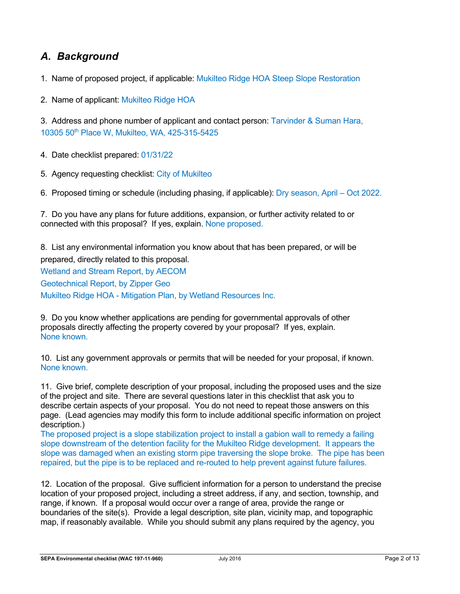## *A. Background*

1. Name of proposed project, if applicable: Mukilteo Ridge HOA Steep Slope Restoration

2. Name of applicant: Mukilteo Ridge HOA

3. Address and phone number of applicant and contact person: Tarvinder & Suman Hara, 10305 50th Place W, Mukilteo, WA, 425-315-5425

4. Date checklist prepared: 01/31/22

5. Agency requesting checklist: City of Mukilteo

6. Proposed timing or schedule (including phasing, if applicable): Dry season, April – Oct 2022.

7. Do you have any plans for future additions, expansion, or further activity related to or connected with this proposal? If yes, explain. None proposed.

8. List any environmental information you know about that has been prepared, or will be prepared, directly related to this proposal.

Wetland and Stream Report, by AECOM Geotechnical Report, by Zipper Geo Mukilteo Ridge HOA - Mitigation Plan, by Wetland Resources Inc.

9. Do you know whether applications are pending for governmental approvals of other proposals directly affecting the property covered by your proposal? If yes, explain. None known.

10. List any government approvals or permits that will be needed for your proposal, if known. None known.

11. Give brief, complete description of your proposal, including the proposed uses and the size of the project and site. There are several questions later in this checklist that ask you to describe certain aspects of your proposal. You do not need to repeat those answers on this page. (Lead agencies may modify this form to include additional specific information on project description.)

The proposed project is a slope stabilization project to install a gabion wall to remedy a failing slope downstream of the detention facility for the Mukilteo Ridge development. It appears the slope was damaged when an existing storm pipe traversing the slope broke. The pipe has been repaired, but the pipe is to be replaced and re-routed to help prevent against future failures.

12. Location of the proposal. Give sufficient information for a person to understand the precise location of your proposed project, including a street address, if any, and section, township, and range, if known. If a proposal would occur over a range of area, provide the range or boundaries of the site(s). Provide a legal description, site plan, vicinity map, and topographic map, if reasonably available. While you should submit any plans required by the agency, you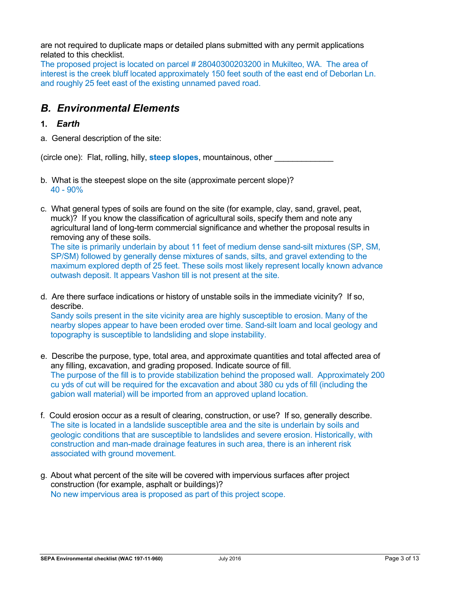are not required to duplicate maps or detailed plans submitted with any permit applications related to this checklist.

The proposed project is located on parcel # 28040300203200 in Mukilteo, WA. The area of interest is the creek bluff located approximately 150 feet south of the east end of Deborlan Ln. and roughly 25 feet east of the existing unnamed paved road.

## *B. Environmental Elements*

#### **1.** *Earth*

a. General description of the site:

(circle one): Flat, rolling, hilly, **steep slopes**, mountainous, other \_\_\_\_\_\_\_\_\_\_\_\_\_

- b. What is the steepest slope on the site (approximate percent slope)? 40 - 90%
- c. What general types of soils are found on the site (for example, clay, sand, gravel, peat, muck)? If you know the classification of agricultural soils, specify them and note any agricultural land of long-term commercial significance and whether the proposal results in removing any of these soils.

The site is primarily underlain by about 11 feet of medium dense sand-silt mixtures (SP, SM, SP/SM) followed by generally dense mixtures of sands, silts, and gravel extending to the maximum explored depth of 25 feet. These soils most likely represent locally known advance outwash deposit. It appears Vashon till is not present at the site.

d. Are there surface indications or history of unstable soils in the immediate vicinity? If so, describe.

Sandy soils present in the site vicinity area are highly susceptible to erosion. Many of the nearby slopes appear to have been eroded over time. Sand-silt loam and local geology and topography is susceptible to landsliding and slope instability.

- e. Describe the purpose, type, total area, and approximate quantities and total affected area of any filling, excavation, and grading proposed. Indicate source of fill. The purpose of the fill is to provide stabilization behind the proposed wall. Approximately 200 cu yds of cut will be required for the excavation and about 380 cu yds of fill (including the gabion wall material) will be imported from an approved upland location.
- f. Could erosion occur as a result of clearing, construction, or use? If so, generally describe. The site is located in a landslide susceptible area and the site is underlain by soils and geologic conditions that are susceptible to landslides and severe erosion. Historically, with construction and man-made drainage features in such area, there is an inherent risk associated with ground movement.
- g. About what percent of the site will be covered with impervious surfaces after project construction (for example, asphalt or buildings)? No new impervious area is proposed as part of this project scope.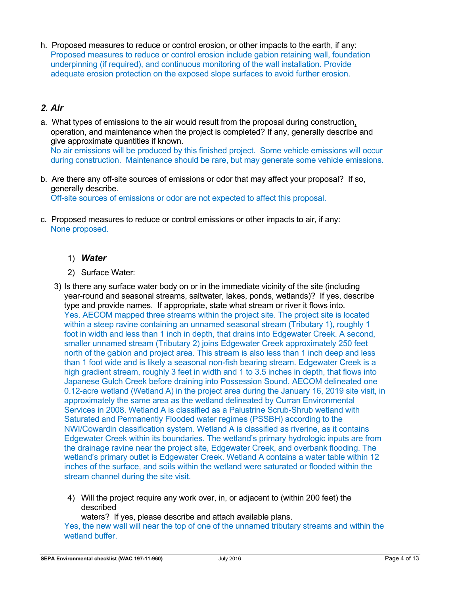h. Proposed measures to reduce or control erosion, or other impacts to the earth, if any: Proposed measures to reduce or control erosion include gabion retaining wall, foundation underpinning (if required), and continuous monitoring of the wall installation. Provide adequate erosion protection on the exposed slope surfaces to avoid further erosion.

### *2. Air*

- a. What types of emissions to the air would result from the proposal during construction, operation, and maintenance when the project is completed? If any, generally describe and give approximate quantities if known. No air emissions will be produced by this finished project. Some vehicle emissions will occur during construction. Maintenance should be rare, but may generate some vehicle emissions.
- b. Are there any off-site sources of emissions or odor that may affect your proposal? If so, generally describe.

Off-site sources of emissions or odor are not expected to affect this proposal.

c. Proposed measures to reduce or control emissions or other impacts to air, if any: None proposed.

### 1) *Water*

- 2) Surface Water:
- 3) Is there any surface water body on or in the immediate vicinity of the site (including year-round and seasonal streams, saltwater, lakes, ponds, wetlands)? If yes, describe type and provide names. If appropriate, state what stream or river it flows into. Yes. AECOM mapped three streams within the project site. The project site is located within a steep ravine containing an unnamed seasonal stream (Tributary 1), roughly 1 foot in width and less than 1 inch in depth, that drains into Edgewater Creek. A second, smaller unnamed stream (Tributary 2) joins Edgewater Creek approximately 250 feet north of the gabion and project area. This stream is also less than 1 inch deep and less than 1 foot wide and is likely a seasonal non-fish bearing stream. Edgewater Creek is a high gradient stream, roughly 3 feet in width and 1 to 3.5 inches in depth, that flows into Japanese Gulch Creek before draining into Possession Sound. AECOM delineated one 0.12-acre wetland (Wetland A) in the project area during the January 16, 2019 site visit, in approximately the same area as the wetland delineated by Curran Environmental Services in 2008. Wetland A is classified as a Palustrine Scrub-Shrub wetland with Saturated and Permanently Flooded water regimes (PSSBH) according to the NWI/Cowardin classification system. Wetland A is classified as riverine, as it contains Edgewater Creek within its boundaries. The wetland's primary hydrologic inputs are from the drainage ravine near the project site, Edgewater Creek, and overbank flooding. The wetland's primary outlet is Edgewater Creek. Wetland A contains a water table within 12 inches of the surface, and soils within the wetland were saturated or flooded within the stream channel during the site visit.
	- 4) Will the project require any work over, in, or adjacent to (within 200 feet) the described

waters? If yes, please describe and attach available plans.

Yes, the new wall will near the top of one of the unnamed tributary streams and within the wetland buffer.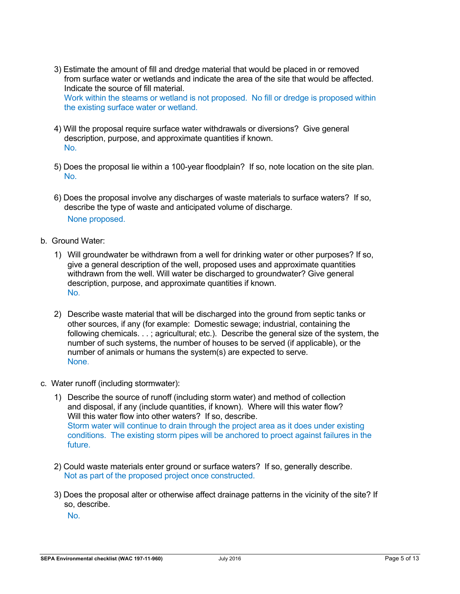- 3) Estimate the amount of fill and dredge material that would be placed in or removed from surface water or wetlands and indicate the area of the site that would be affected. Indicate the source of fill material. Work within the steams or wetland is not proposed. No fill or dredge is proposed within the existing surface water or wetland.
- 4) Will the proposal require surface water withdrawals or diversions? Give general description, purpose, and approximate quantities if known. No.
- 5) Does the proposal lie within a 100-year floodplain? If so, note location on the site plan. No.
- 6) Does the proposal involve any discharges of waste materials to surface waters? If so, describe the type of waste and anticipated volume of discharge. None proposed.
- b. Ground Water:
	- 1) Will groundwater be withdrawn from a well for drinking water or other purposes? If so, give a general description of the well, proposed uses and approximate quantities withdrawn from the well. Will water be discharged to groundwater? Give general description, purpose, and approximate quantities if known. No.
	- 2) Describe waste material that will be discharged into the ground from septic tanks or other sources, if any (for example: Domestic sewage; industrial, containing the following chemicals. . . ; agricultural; etc.). Describe the general size of the system, the number of such systems, the number of houses to be served (if applicable), or the number of animals or humans the system(s) are expected to serve. None.
- c. Water runoff (including stormwater):
	- 1) Describe the source of runoff (including storm water) and method of collection and disposal, if any (include quantities, if known). Where will this water flow? Will this water flow into other waters? If so, describe. Storm water will continue to drain through the project area as it does under existing conditions. The existing storm pipes will be anchored to proect against failures in the future.
	- 2) Could waste materials enter ground or surface waters? If so, generally describe. Not as part of the proposed project once constructed.
	- 3) Does the proposal alter or otherwise affect drainage patterns in the vicinity of the site? If so, describe.

No.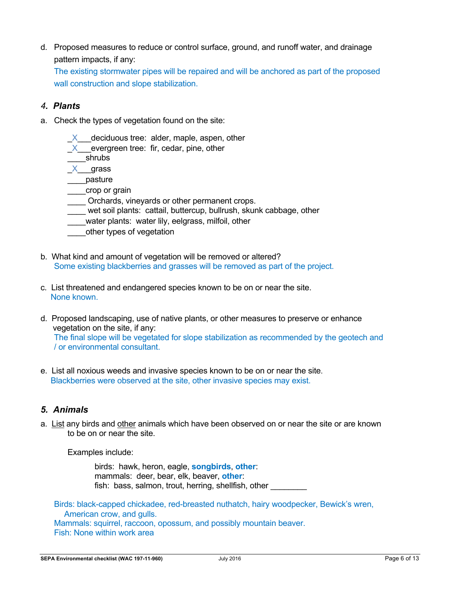d. Proposed measures to reduce or control surface, ground, and runoff water, and drainage pattern impacts, if any:

The existing stormwater pipes will be repaired and will be anchored as part of the proposed wall construction and slope stabilization.

### *4. Plants*

- a. Check the types of vegetation found on the site:
	- $X$  deciduous tree: alder, maple, aspen, other
	- $X$  evergreen tree: fir, cedar, pine, other
	- \_\_\_\_shrubs
	- \_X\_\_\_grass
	- \_\_\_\_pasture
	- \_\_\_\_crop or grain
	- \_\_\_\_ Orchards, vineyards or other permanent crops.
	- wet soil plants: cattail, buttercup, bullrush, skunk cabbage, other
	- water plants: water lily, eelgrass, milfoil, other
	- \_\_\_\_other types of vegetation
- b. What kind and amount of vegetation will be removed or altered? Some existing blackberries and grasses will be removed as part of the project.
- c. List threatened and endangered species known to be on or near the site. None known.
- d. Proposed landscaping, use of native plants, or other measures to preserve or enhance vegetation on the site, if any: The final slope will be vegetated for slope stabilization as recommended by the geotech and / or environmental consultant.
- e. List all noxious weeds and invasive species known to be on or near the site. Blackberries were observed at the site, other invasive species may exist.

### *5. Animals*

a. List any birds and other animals which have been observed on or near the site or are known to be on or near the site.

Examples include:

birds: hawk, heron, eagle, **songbirds**, **other**: mammals: deer, bear, elk, beaver, **other**: fish: bass, salmon, trout, herring, shellfish, other

Birds: black-capped chickadee, red-breasted nuthatch, hairy woodpecker, Bewick's wren, American crow, and gulls. Mammals: squirrel, raccoon, opossum, and possibly mountain beaver. Fish: None within work area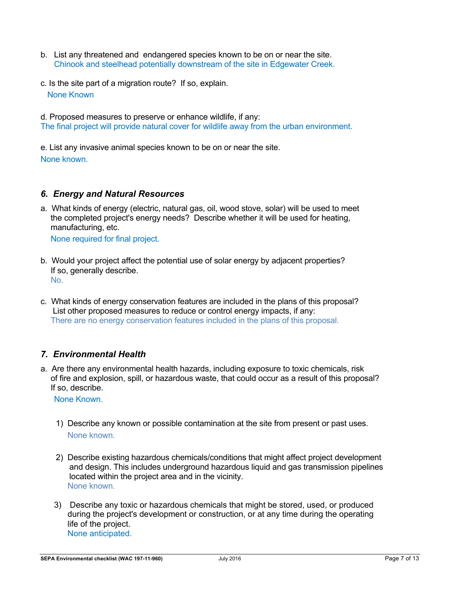- b. List any threatened and endangered species known to be on or near the site. Chinook and steelhead potentially downstream of the site in Edgewater Creek.
- c. Is the site part of a migration route? If so, explain. None Known

d. Proposed measures to preserve or enhance wildlife, if any: The final project will provide natural cover for wildlife away from the urban environment.

e. List any invasive animal species known to be on or near the site. None known.

### *6. Energy and Natural Resources*

a. What kinds of energy (electric, natural gas, oil, wood stove, solar) will be used to meet the completed project's energy needs? Describe whether it will be used for heating, manufacturing, etc.

None required for final project.

- b. Would your project affect the potential use of solar energy by adjacent properties? If so, generally describe. No.
- c. What kinds of energy conservation features are included in the plans of this proposal? List other proposed measures to reduce or control energy impacts, if any: There are no energy conservation features included in the plans of this proposal.

### *7. Environmental Health*

a. Are there any environmental health hazards, including exposure to toxic chemicals, risk of fire and explosion, spill, or hazardous waste, that could occur as a result of this proposal? If so, describe.

None Known.

- 1) Describe any known or possible contamination at the site from present or past uses. None known.
- 2) Describe existing hazardous chemicals/conditions that might affect project development and design. This includes underground hazardous liquid and gas transmission pipelines located within the project area and in the vicinity. None known.
- 3) Describe any toxic or hazardous chemicals that might be stored, used, or produced during the project's development or construction, or at any time during the operating life of the project. None anticipated.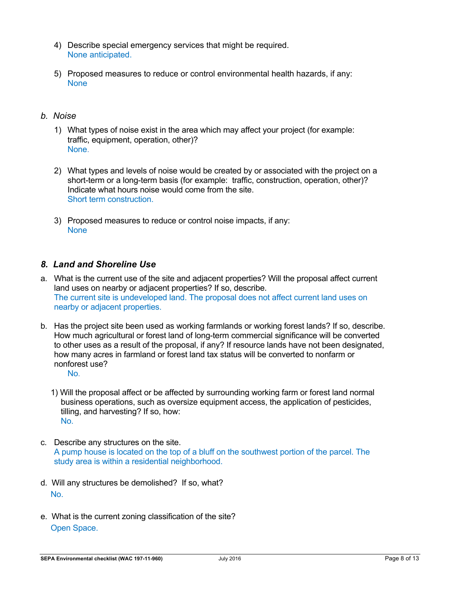- 4) Describe special emergency services that might be required. None anticipated.
- 5) Proposed measures to reduce or control environmental health hazards, if any: **None**

#### *b. Noise*

- 1) What types of noise exist in the area which may affect your project (for example: traffic, equipment, operation, other)? None.
- 2) What types and levels of noise would be created by or associated with the project on a short-term or a long-term basis (for example: traffic, construction, operation, other)? Indicate what hours noise would come from the site. Short term construction.
- 3) Proposed measures to reduce or control noise impacts, if any: **None**

#### *8. Land and Shoreline Use*

- a. What is the current use of the site and adjacent properties? Will the proposal affect current land uses on nearby or adjacent properties? If so, describe. The current site is undeveloped land. The proposal does not affect current land uses on nearby or adjacent properties.
- b. Has the project site been used as working farmlands or working forest lands? If so, describe. How much agricultural or forest land of long-term commercial significance will be converted to other uses as a result of the proposal, if any? If resource lands have not been designated, how many acres in farmland or forest land tax status will be converted to nonfarm or nonforest use? No.
	- 1) Will the proposal affect or be affected by surrounding working farm or forest land normal business operations, such as oversize equipment access, the application of pesticides, tilling, and harvesting? If so, how: No.
- c. Describe any structures on the site. A pump house is located on the top of a bluff on the southwest portion of the parcel. The study area is within a residential neighborhood.
- d. Will any structures be demolished? If so, what? No.
- e. What is the current zoning classification of the site? Open Space.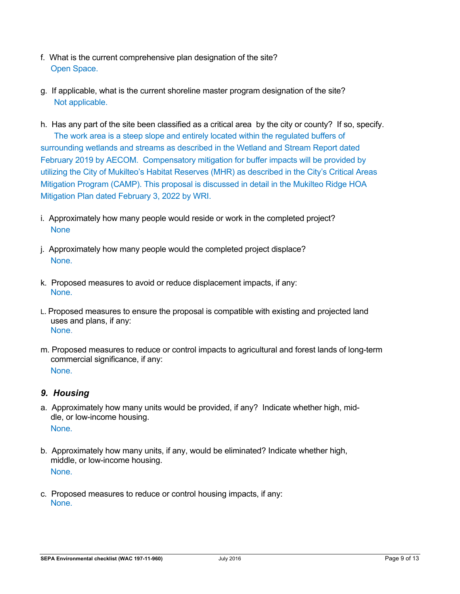- f. What is the current comprehensive plan designation of the site? Open Space.
- g. If applicable, what is the current shoreline master program designation of the site? Not applicable.
- h. Has any part of the site been classified as a critical area by the city or county? If so, specify. The work area is a steep slope and entirely located within the regulated buffers of surrounding wetlands and streams as described in the Wetland and Stream Report dated February 2019 by AECOM. Compensatory mitigation for buffer impacts will be provided by utilizing the City of Mukilteo's Habitat Reserves (MHR) as described in the City's Critical Areas Mitigation Program (CAMP). This proposal is discussed in detail in the Mukilteo Ridge HOA Mitigation Plan dated February 3, 2022 by WRI.
- i. Approximately how many people would reside or work in the completed project? **None**
- j. Approximately how many people would the completed project displace? None.
- k. Proposed measures to avoid or reduce displacement impacts, if any: None.
- L. Proposed measures to ensure the proposal is compatible with existing and projected land uses and plans, if any: None.
- m. Proposed measures to reduce or control impacts to agricultural and forest lands of long-term commercial significance, if any: None.

### *9. Housing*

- a. Approximately how many units would be provided, if any? Indicate whether high, middle, or low-income housing. None.
- b. Approximately how many units, if any, would be eliminated? Indicate whether high, middle, or low-income housing. None.
- c. Proposed measures to reduce or control housing impacts, if any: None.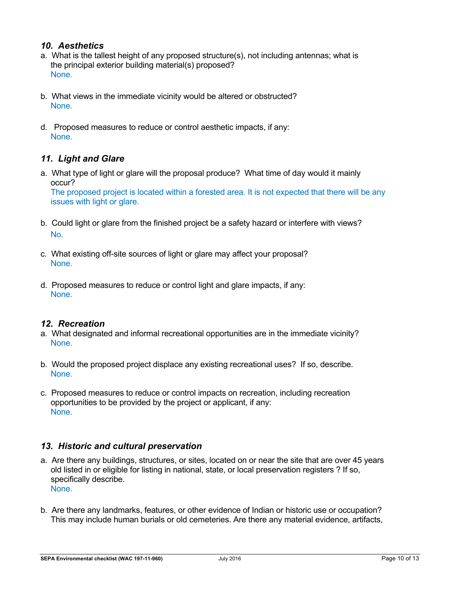### *10. Aesthetics*

- a. What is the tallest height of any proposed structure(s), not including antennas; what is the principal exterior building material(s) proposed? None.
- b. What views in the immediate vicinity would be altered or obstructed? None.
- d. Proposed measures to reduce or control aesthetic impacts, if any: None.

### *11. Light and Glare*

a. What type of light or glare will the proposal produce? What time of day would it mainly occur?

The proposed project is located within a forested area. It is not expected that there will be any issues with light or glare.

- b. Could light or glare from the finished project be a safety hazard or interfere with views? No.
- c. What existing off-site sources of light or glare may affect your proposal? None.
- d. Proposed measures to reduce or control light and glare impacts, if any: None.

#### *12. Recreation*

- a. What designated and informal recreational opportunities are in the immediate vicinity? None.
- b. Would the proposed project displace any existing recreational uses? If so, describe. None.
- c. Proposed measures to reduce or control impacts on recreation, including recreation opportunities to be provided by the project or applicant, if any: None.

### *13. Historic and cultural preservation*

- a. Are there any buildings, structures, or sites, located on or near the site that are over 45 years old listed in or eligible for listing in national, state, or local preservation registers ? If so, specifically describe. None.
- b. Are there any landmarks, features, or other evidence of Indian or historic use or occupation? This may include human burials or old cemeteries. Are there any material evidence, artifacts,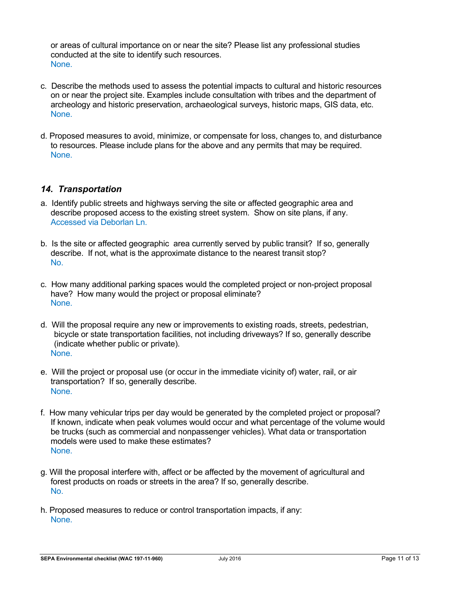or areas of cultural importance on or near the site? Please list any professional studies conducted at the site to identify such resources. None.

- c. Describe the methods used to assess the potential impacts to cultural and historic resources on or near the project site. Examples include consultation with tribes and the department of archeology and historic preservation, archaeological surveys, historic maps, GIS data, etc. None.
- d. Proposed measures to avoid, minimize, or compensate for loss, changes to, and disturbance to resources. Please include plans for the above and any permits that may be required. None.

### *14. Transportation*

- a. Identify public streets and highways serving the site or affected geographic area and describe proposed access to the existing street system. Show on site plans, if any. Accessed via Deborlan Ln.
- b. Is the site or affected geographic area currently served by public transit? If so, generally describe. If not, what is the approximate distance to the nearest transit stop? No.
- c. How many additional parking spaces would the completed project or non-project proposal have? How many would the project or proposal eliminate? None.
- d. Will the proposal require any new or improvements to existing roads, streets, pedestrian, bicycle or state transportation facilities, not including driveways? If so, generally describe (indicate whether public or private). None.
- e. Will the project or proposal use (or occur in the immediate vicinity of) water, rail, or air transportation? If so, generally describe. None.
- f. How many vehicular trips per day would be generated by the completed project or proposal? If known, indicate when peak volumes would occur and what percentage of the volume would be trucks (such as commercial and nonpassenger vehicles). What data or transportation models were used to make these estimates? None.
- g. Will the proposal interfere with, affect or be affected by the movement of agricultural and forest products on roads or streets in the area? If so, generally describe. No.
- h. Proposed measures to reduce or control transportation impacts, if any: None.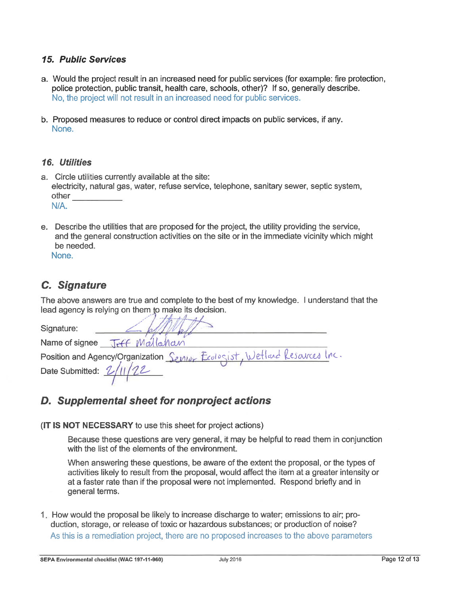### **15. Public Services**

- a. Would the project result in an increased need for public services (for example: fire protection, police protection, public transit, health care, schools, other)? If so, generally describe. No, the project will not result in an increased need for public services.
- b. Proposed measures to reduce or control direct impacts on public services, if any. None.

### 16. Utilities

- a. Circle utilities currently available at the site: electricity, natural gas, water, refuse service, telephone, sanitary sewer, septic system, other  $N/A$ .
- e. Describe the utilities that are proposed for the project, the utility providing the service, and the general construction activities on the site or in the immediate vicinity which might be needed.

None.

## **C.** Signature

The above answers are true and complete to the best of my knowledge. I understand that the lead agency is relying on them to make its decision.

| Signature:         |                                                                           |  |
|--------------------|---------------------------------------------------------------------------|--|
| Name of signee     | JAFF Mallahan                                                             |  |
|                    | Position and Agency/Organization Senior Ecologist, Wetland Resources Inc. |  |
| Date Submitted: 2/ |                                                                           |  |
|                    |                                                                           |  |

## D. Supplemental sheet for nonproject actions

(IT IS NOT NECESSARY to use this sheet for project actions)

Because these questions are very general, it may be helpful to read them in conjunction with the list of the elements of the environment.

When answering these questions, be aware of the extent the proposal, or the types of activities likely to result from the proposal, would affect the item at a greater intensity or at a faster rate than if the proposal were not implemented. Respond briefly and in general terms.

1. How would the proposal be likely to increase discharge to water; emissions to air; production, storage, or release of toxic or hazardous substances; or production of noise? As this is a remediation project, there are no proposed increases to the above parameters